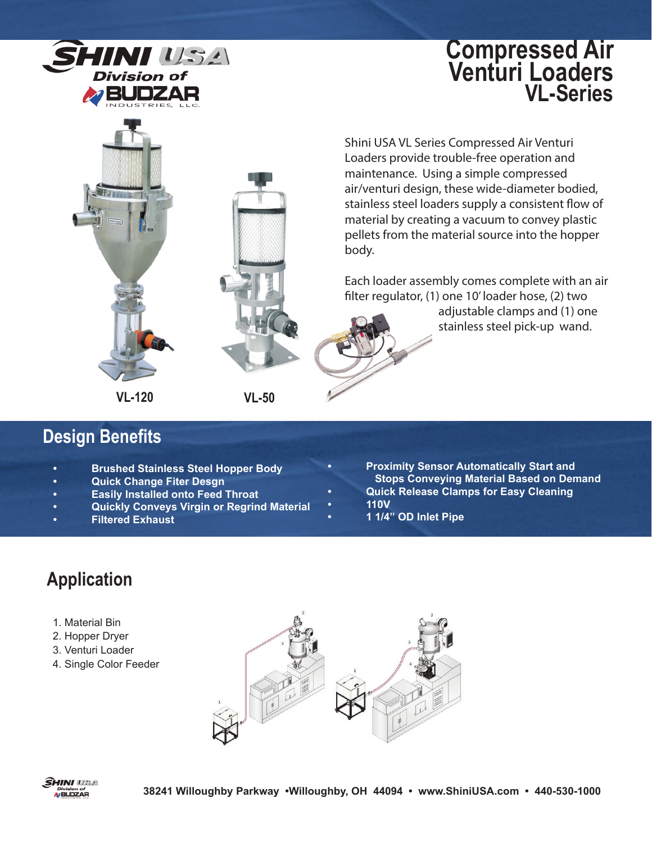

## **Compressed Air Venturi Loaders VL-Series**



Shini USA VL Series Compressed Air Venturi Loaders provide trouble-free operation and maintenance. Using a simple compressed air/venturi design, these wide-diameter bodied, stainless steel loaders supply a consistent flow of material by creating a vacuum to convey plastic pellets from the material source into the hopper body.

Each loader assembly comes complete with an air filter regulator, (1) one 10' loader hose, (2) two

> adjustable clamps and (1) one stainless steel pick-up wand.

- **Design Benefits**
	- **Brushed Stainless Steel Hopper Body**
	- **Quick Change Fiter Desgn**
	- **Easily Installed onto Feed Throat**
	- **Quickly Conveys Virgin or Regrind Material**
	- **Filtered Exhaust**
- **Proximity Sensor Automatically Start and Stops Conveying Material Based on Demand • Quick Release Clamps for Easy Cleaning**
- **110V**
- **1 1/4" OD Inlet Pipe**

# **Application**

- 1. Material Bin
- 2. Hopper Dryer
- 3. Venturi Loader
- 4. Single Color Feeder